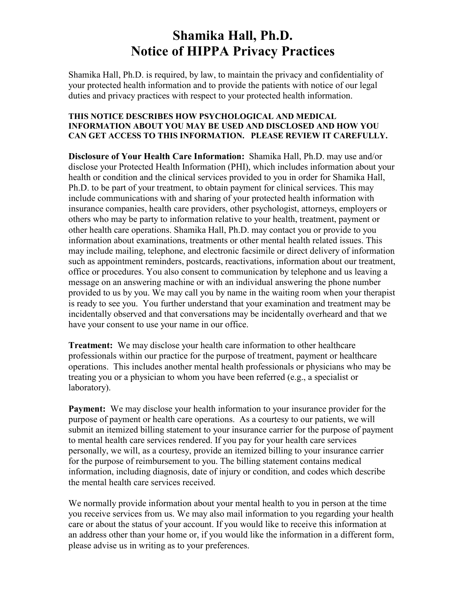# **Shamika Hall, Ph.D. Notice of HIPPA Privacy Practices**

Shamika Hall, Ph.D. is required, by law, to maintain the privacy and confidentiality of your protected health information and to provide the patients with notice of our legal duties and privacy practices with respect to your protected health information.

#### **THIS NOTICE DESCRIBES HOW PSYCHOLOGICAL AND MEDICAL INFORMATION ABOUT YOU MAY BE USED AND DISCLOSED AND HOW YOU CAN GET ACCESS TO THIS INFORMATION. PLEASE REVIEW IT CAREFULLY.**

**Disclosure of Your Health Care Information:** Shamika Hall, Ph.D. may use and/or disclose your Protected Health Information (PHI), which includes information about your health or condition and the clinical services provided to you in order for Shamika Hall, Ph.D. to be part of your treatment, to obtain payment for clinical services. This may include communications with and sharing of your protected health information with insurance companies, health care providers, other psychologist, attorneys, employers or others who may be party to information relative to your health, treatment, payment or other health care operations. Shamika Hall, Ph.D. may contact you or provide to you information about examinations, treatments or other mental health related issues. This may include mailing, telephone, and electronic facsimile or direct delivery of information such as appointment reminders, postcards, reactivations, information about our treatment, office or procedures. You also consent to communication by telephone and us leaving a message on an answering machine or with an individual answering the phone number provided to us by you. We may call you by name in the waiting room when your therapist is ready to see you. You further understand that your examination and treatment may be incidentally observed and that conversations may be incidentally overheard and that we have your consent to use your name in our office.

**Treatment:** We may disclose your health care information to other healthcare professionals within our practice for the purpose of treatment, payment or healthcare operations. This includes another mental health professionals or physicians who may be treating you or a physician to whom you have been referred (e.g., a specialist or laboratory).

**Payment:** We may disclose your health information to your insurance provider for the purpose of payment or health care operations. As a courtesy to our patients, we will submit an itemized billing statement to your insurance carrier for the purpose of payment to mental health care services rendered. If you pay for your health care services personally, we will, as a courtesy, provide an itemized billing to your insurance carrier for the purpose of reimbursement to you. The billing statement contains medical information, including diagnosis, date of injury or condition, and codes which describe the mental health care services received.

We normally provide information about your mental health to you in person at the time you receive services from us. We may also mail information to you regarding your health care or about the status of your account. If you would like to receive this information at an address other than your home or, if you would like the information in a different form, please advise us in writing as to your preferences.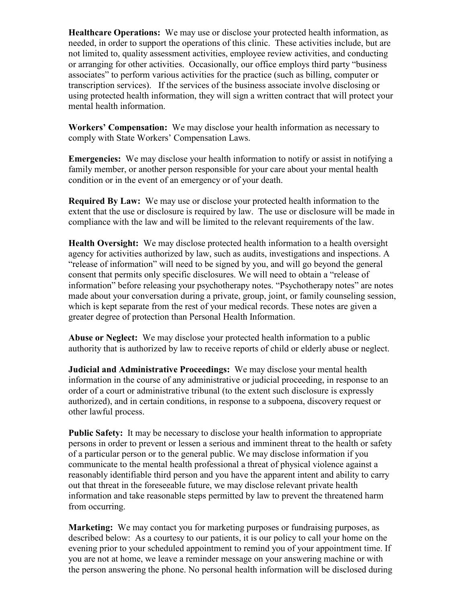**Healthcare Operations:** We may use or disclose your protected health information, as needed, in order to support the operations of this clinic. These activities include, but are not limited to, quality assessment activities, employee review activities, and conducting or arranging for other activities. Occasionally, our office employs third party "business associates" to perform various activities for the practice (such as billing, computer or transcription services). If the services of the business associate involve disclosing or using protected health information, they will sign a written contract that will protect your mental health information.

**Workers' Compensation:** We may disclose your health information as necessary to comply with State Workers' Compensation Laws.

**Emergencies:** We may disclose your health information to notify or assist in notifying a family member, or another person responsible for your care about your mental health condition or in the event of an emergency or of your death.

**Required By Law:** We may use or disclose your protected health information to the extent that the use or disclosure is required by law. The use or disclosure will be made in compliance with the law and will be limited to the relevant requirements of the law.

**Health Oversight:** We may disclose protected health information to a health oversight agency for activities authorized by law, such as audits, investigations and inspections. A "release of information" will need to be signed by you, and will go beyond the general consent that permits only specific disclosures. We will need to obtain a "release of information" before releasing your psychotherapy notes. "Psychotherapy notes" are notes made about your conversation during a private, group, joint, or family counseling session, which is kept separate from the rest of your medical records. These notes are given a greater degree of protection than Personal Health Information.

**Abuse or Neglect:** We may disclose your protected health information to a public authority that is authorized by law to receive reports of child or elderly abuse or neglect.

**Judicial and Administrative Proceedings:** We may disclose your mental health information in the course of any administrative or judicial proceeding, in response to an order of a court or administrative tribunal (to the extent such disclosure is expressly authorized), and in certain conditions, in response to a subpoena, discovery request or other lawful process.

**Public Safety:** It may be necessary to disclose your health information to appropriate persons in order to prevent or lessen a serious and imminent threat to the health or safety of a particular person or to the general public. We may disclose information if you communicate to the mental health professional a threat of physical violence against a reasonably identifiable third person and you have the apparent intent and ability to carry out that threat in the foreseeable future, we may disclose relevant private health information and take reasonable steps permitted by law to prevent the threatened harm from occurring.

**Marketing:** We may contact you for marketing purposes or fundraising purposes, as described below: As a courtesy to our patients, it is our policy to call your home on the evening prior to your scheduled appointment to remind you of your appointment time. If you are not at home, we leave a reminder message on your answering machine or with the person answering the phone. No personal health information will be disclosed during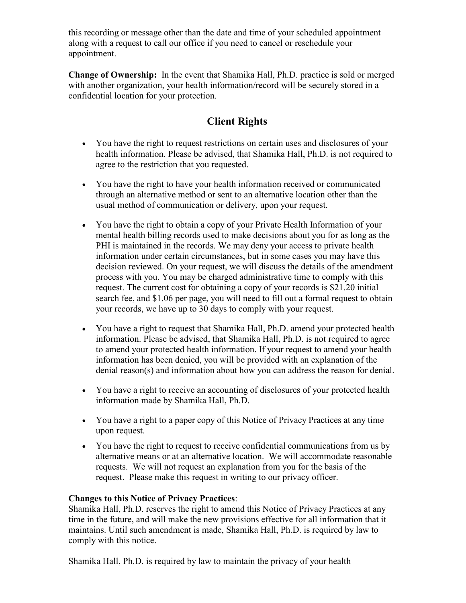this recording or message other than the date and time of your scheduled appointment along with a request to call our office if you need to cancel or reschedule your appointment.

**Change of Ownership:** In the event that Shamika Hall, Ph.D. practice is sold or merged with another organization, your health information/record will be securely stored in a confidential location for your protection.

## **Client Rights**

- You have the right to request restrictions on certain uses and disclosures of your health information. Please be advised, that Shamika Hall, Ph.D. is not required to agree to the restriction that you requested.
- You have the right to have your health information received or communicated through an alternative method or sent to an alternative location other than the usual method of communication or delivery, upon your request.
- You have the right to obtain a copy of your Private Health Information of your mental health billing records used to make decisions about you for as long as the PHI is maintained in the records. We may deny your access to private health information under certain circumstances, but in some cases you may have this decision reviewed. On your request, we will discuss the details of the amendment process with you. You may be charged administrative time to comply with this request. The current cost for obtaining a copy of your records is \$21.20 initial search fee, and \$1.06 per page, you will need to fill out a formal request to obtain your records, we have up to 30 days to comply with your request.
- You have a right to request that Shamika Hall, Ph.D. amend your protected health information. Please be advised, that Shamika Hall, Ph.D. is not required to agree to amend your protected health information. If your request to amend your health information has been denied, you will be provided with an explanation of the denial reason(s) and information about how you can address the reason for denial.
- You have a right to receive an accounting of disclosures of your protected health information made by Shamika Hall, Ph.D.
- You have a right to a paper copy of this Notice of Privacy Practices at any time upon request.
- You have the right to request to receive confidential communications from us by alternative means or at an alternative location. We will accommodate reasonable requests. We will not request an explanation from you for the basis of the request. Please make this request in writing to our privacy officer.

### **Changes to this Notice of Privacy Practices**:

Shamika Hall, Ph.D. reserves the right to amend this Notice of Privacy Practices at any time in the future, and will make the new provisions effective for all information that it maintains. Until such amendment is made, Shamika Hall, Ph.D. is required by law to comply with this notice.

Shamika Hall, Ph.D. is required by law to maintain the privacy of your health